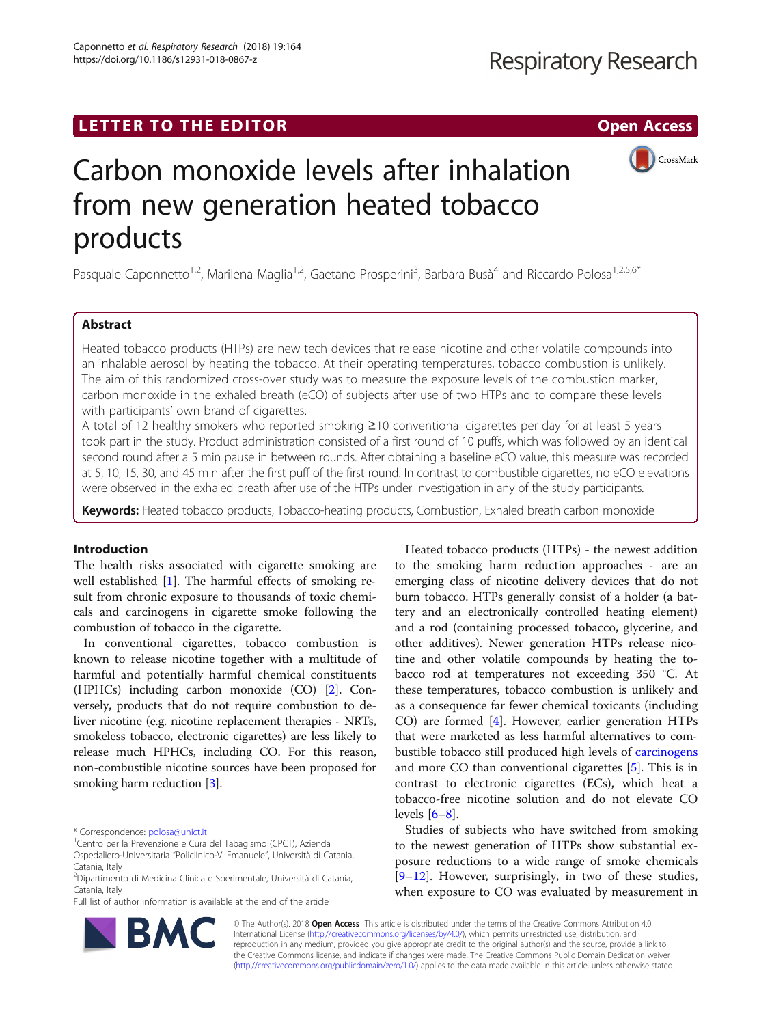

# Carbon monoxide levels after inhalation from new generation heated tobacco products

Pasquale Caponnetto<sup>1,2</sup>, Marilena Maglia<sup>1,2</sup>, Gaetano Prosperini<sup>3</sup>, Barbara Busà<sup>4</sup> and Riccardo Polosa<sup>1,2,5,6\*</sup>

# Abstract

Heated tobacco products (HTPs) are new tech devices that release nicotine and other volatile compounds into an inhalable aerosol by heating the tobacco. At their operating temperatures, tobacco combustion is unlikely. The aim of this randomized cross-over study was to measure the exposure levels of the combustion marker, carbon monoxide in the exhaled breath (eCO) of subjects after use of two HTPs and to compare these levels with participants' own brand of cigarettes.

A total of 12 healthy smokers who reported smoking ≥10 conventional cigarettes per day for at least 5 years took part in the study. Product administration consisted of a first round of 10 puffs, which was followed by an identical second round after a 5 min pause in between rounds. After obtaining a baseline eCO value, this measure was recorded at 5, 10, 15, 30, and 45 min after the first puff of the first round. In contrast to combustible cigarettes, no eCO elevations were observed in the exhaled breath after use of the HTPs under investigation in any of the study participants.

Keywords: Heated tobacco products, Tobacco-heating products, Combustion, Exhaled breath carbon monoxide

# Introduction

The health risks associated with cigarette smoking are well established [[1](#page-3-0)]. The harmful effects of smoking result from chronic exposure to thousands of toxic chemicals and carcinogens in cigarette smoke following the combustion of tobacco in the cigarette.

In conventional cigarettes, tobacco combustion is known to release nicotine together with a multitude of harmful and potentially harmful chemical constituents (HPHCs) including carbon monoxide (CO) [[2\]](#page-3-0). Conversely, products that do not require combustion to deliver nicotine (e.g. nicotine replacement therapies - NRTs, smokeless tobacco, electronic cigarettes) are less likely to release much HPHCs, including CO. For this reason, non-combustible nicotine sources have been proposed for smoking harm reduction [\[3](#page-3-0)].

Full list of author information is available at the end of the article



Heated tobacco products (HTPs) - the newest addition to the smoking harm reduction approaches - are an emerging class of nicotine delivery devices that do not burn tobacco. HTPs generally consist of a holder (a battery and an electronically controlled heating element) and a rod (containing processed tobacco, glycerine, and other additives). Newer generation HTPs release nicotine and other volatile compounds by heating the tobacco rod at temperatures not exceeding 350 °C. At these temperatures, tobacco combustion is unlikely and as a consequence far fewer chemical toxicants (including CO) are formed [\[4](#page-3-0)]. However, earlier generation HTPs that were marketed as less harmful alternatives to combustible tobacco still produced high levels of [carcinogens](https://en.wikipedia.org/wiki/Carcinogen) and more CO than conventional cigarettes [[5\]](#page-3-0). This is in contrast to electronic cigarettes (ECs), which heat a tobacco-free nicotine solution and do not elevate CO levels  $[6-8]$  $[6-8]$  $[6-8]$ .

Studies of subjects who have switched from smoking to the newest generation of HTPs show substantial exposure reductions to a wide range of smoke chemicals [[9](#page-3-0)–[12\]](#page-3-0). However, surprisingly, in two of these studies, when exposure to CO was evaluated by measurement in

© The Author(s). 2018 Open Access This article is distributed under the terms of the Creative Commons Attribution 4.0 International License [\(http://creativecommons.org/licenses/by/4.0/](http://creativecommons.org/licenses/by/4.0/)), which permits unrestricted use, distribution, and reproduction in any medium, provided you give appropriate credit to the original author(s) and the source, provide a link to the Creative Commons license, and indicate if changes were made. The Creative Commons Public Domain Dedication waiver [\(http://creativecommons.org/publicdomain/zero/1.0/](http://creativecommons.org/publicdomain/zero/1.0/)) applies to the data made available in this article, unless otherwise stated.

<sup>\*</sup> Correspondence: [polosa@unict.it](mailto:polosa@unict.it) <sup>1</sup>

<sup>&</sup>lt;sup>1</sup> Centro per la Prevenzione e Cura del Tabagismo (CPCT), Azienda Ospedaliero-Universitaria "Policlinico-V. Emanuele", Università di Catania,

Catania, Italy

<sup>2</sup> Dipartimento di Medicina Clinica e Sperimentale, Università di Catania, Catania, Italy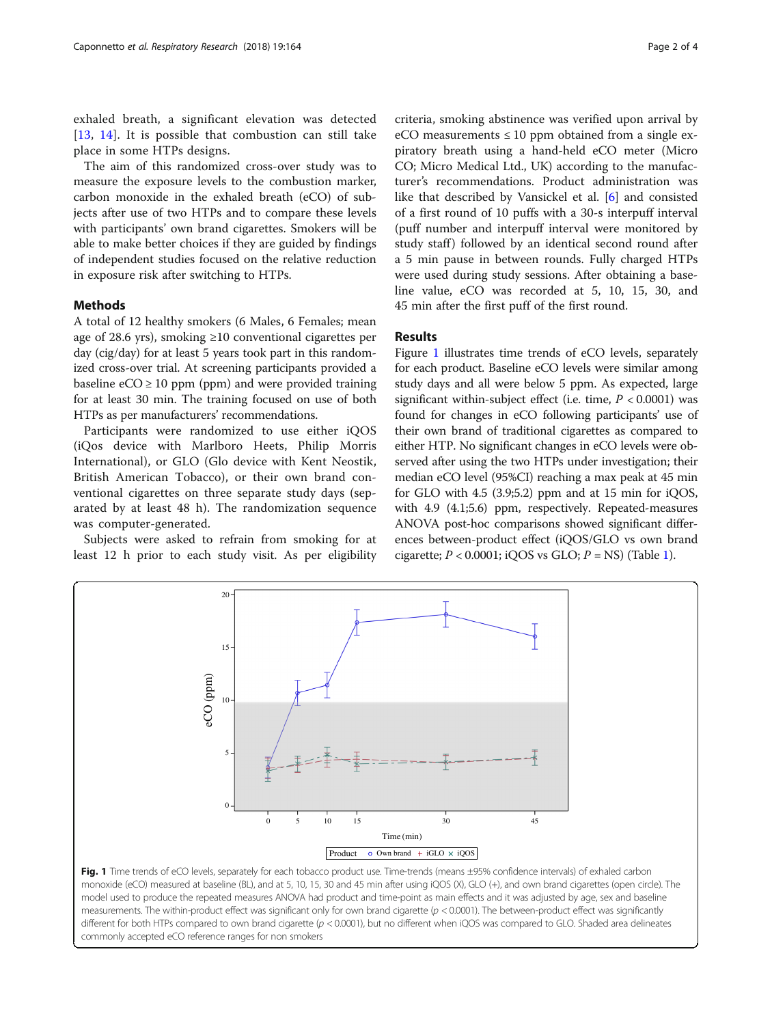exhaled breath, a significant elevation was detected [[13](#page-3-0), [14](#page-3-0)]. It is possible that combustion can still take place in some HTPs designs.

The aim of this randomized cross-over study was to measure the exposure levels to the combustion marker, carbon monoxide in the exhaled breath (eCO) of subjects after use of two HTPs and to compare these levels with participants' own brand cigarettes. Smokers will be able to make better choices if they are guided by findings of independent studies focused on the relative reduction in exposure risk after switching to HTPs.

## Methods

A total of 12 healthy smokers (6 Males, 6 Females; mean age of 28.6 yrs), smoking ≥10 conventional cigarettes per day (cig/day) for at least 5 years took part in this randomized cross-over trial. At screening participants provided a baseline  $eCO \ge 10$  ppm (ppm) and were provided training for at least 30 min. The training focused on use of both HTPs as per manufacturers' recommendations.

Participants were randomized to use either iQOS (iQos device with Marlboro Heets, Philip Morris International), or GLO (Glo device with Kent Neostik, British American Tobacco), or their own brand conventional cigarettes on three separate study days (separated by at least 48 h). The randomization sequence was computer-generated.

Subjects were asked to refrain from smoking for at least 12 h prior to each study visit. As per eligibility

criteria, smoking abstinence was verified upon arrival by eCO measurements  $\leq 10$  ppm obtained from a single expiratory breath using a hand-held eCO meter (Micro CO; Micro Medical Ltd., UK) according to the manufacturer's recommendations. Product administration was like that described by Vansickel et al. [[6\]](#page-3-0) and consisted of a first round of 10 puffs with a 30-s interpuff interval (puff number and interpuff interval were monitored by study staff) followed by an identical second round after a 5 min pause in between rounds. Fully charged HTPs were used during study sessions. After obtaining a baseline value, eCO was recorded at 5, 10, 15, 30, and 45 min after the first puff of the first round.

# Results

Figure 1 illustrates time trends of eCO levels, separately for each product. Baseline eCO levels were similar among study days and all were below 5 ppm. As expected, large significant within-subject effect (i.e. time,  $P < 0.0001$ ) was found for changes in eCO following participants' use of their own brand of traditional cigarettes as compared to either HTP. No significant changes in eCO levels were observed after using the two HTPs under investigation; their median eCO level (95%CI) reaching a max peak at 45 min for GLO with 4.5 (3.9;5.2) ppm and at 15 min for iQOS, with 4.9 (4.1;5.6) ppm, respectively. Repeated-measures ANOVA post-hoc comparisons showed significant differences between-product effect (iQOS/GLO vs own brand cigarette;  $P < 0.0001$  $P < 0.0001$ ; iQOS vs GLO;  $P = NS$ ) (Table 1).



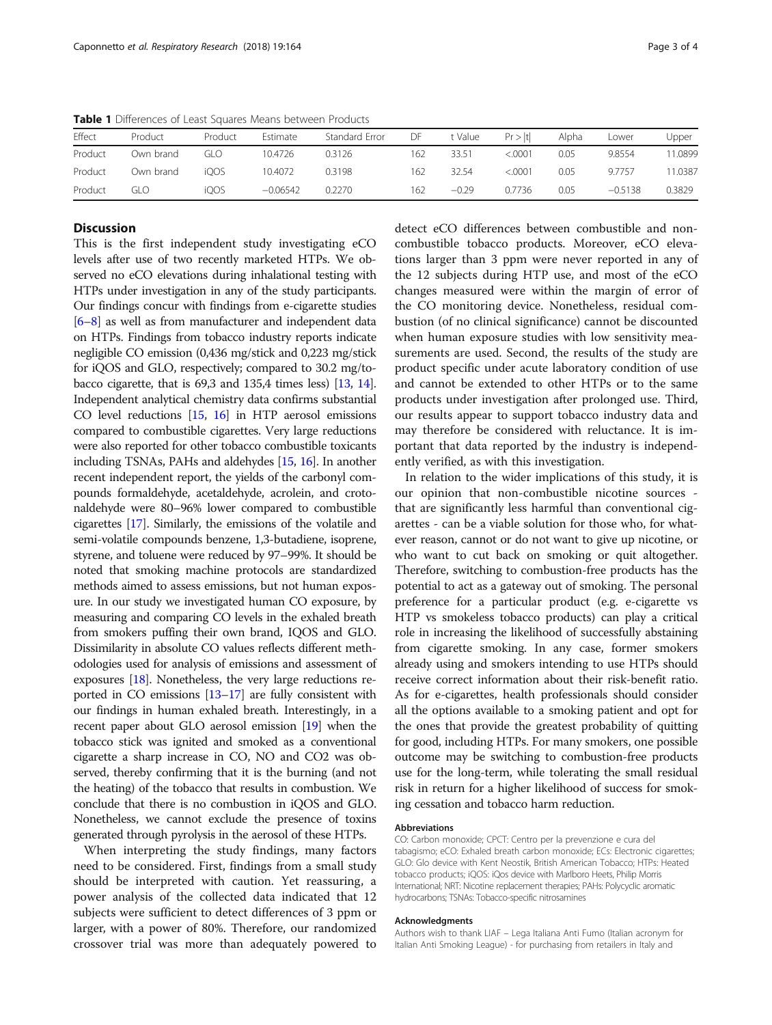| Effect  | Product   | Product | Estimate   | Standard Error | DF  | t Value | Pr >  t | Alpha | Lower     | Upper  |
|---------|-----------|---------|------------|----------------|-----|---------|---------|-------|-----------|--------|
| Product | Own brand | GLO     | 10.4726    | 0.3126         | 162 | 33.51   | < 0001  | 0.05  | 9.8554    | 1.0899 |
| Product | Own brand | iOOS    | 10.4072    | 0.3198         | 162 | 32.54   | < .0001 | 0.05  | 9.7757    | 1.0387 |
| Product | GI O      | iOOS    | $-0.06542$ | 0.2270         | 162 | $-0.29$ | 0.7736  | 0.05  | $-0.5138$ | 0.3829 |

<span id="page-2-0"></span>Table 1 Differences of Least Squares Means between Products

## **Discussion**

This is the first independent study investigating eCO levels after use of two recently marketed HTPs. We observed no eCO elevations during inhalational testing with HTPs under investigation in any of the study participants. Our findings concur with findings from e-cigarette studies [[6](#page-3-0)–[8](#page-3-0)] as well as from manufacturer and independent data on HTPs. Findings from tobacco industry reports indicate negligible CO emission (0,436 mg/stick and 0,223 mg/stick for iQOS and GLO, respectively; compared to 30.2 mg/tobacco cigarette, that is 69,3 and 135,4 times less) [[13](#page-3-0), [14](#page-3-0)]. Independent analytical chemistry data confirms substantial CO level reductions [\[15,](#page-3-0) [16](#page-3-0)] in HTP aerosol emissions compared to combustible cigarettes. Very large reductions were also reported for other tobacco combustible toxicants including TSNAs, PAHs and aldehydes [\[15,](#page-3-0) [16\]](#page-3-0). In another recent independent report, the yields of the carbonyl compounds formaldehyde, acetaldehyde, acrolein, and crotonaldehyde were 80–96% lower compared to combustible cigarettes [\[17\]](#page-3-0). Similarly, the emissions of the volatile and semi-volatile compounds benzene, 1,3-butadiene, isoprene, styrene, and toluene were reduced by 97–99%. It should be noted that smoking machine protocols are standardized methods aimed to assess emissions, but not human exposure. In our study we investigated human CO exposure, by measuring and comparing CO levels in the exhaled breath from smokers puffing their own brand, IQOS and GLO. Dissimilarity in absolute CO values reflects different methodologies used for analysis of emissions and assessment of exposures [[18](#page-3-0)]. Nonetheless, the very large reductions reported in CO emissions [\[13](#page-3-0)–[17\]](#page-3-0) are fully consistent with our findings in human exhaled breath. Interestingly, in a recent paper about GLO aerosol emission [\[19](#page-3-0)] when the tobacco stick was ignited and smoked as a conventional cigarette a sharp increase in CO, NO and CO2 was observed, thereby confirming that it is the burning (and not the heating) of the tobacco that results in combustion. We conclude that there is no combustion in iQOS and GLO. Nonetheless, we cannot exclude the presence of toxins generated through pyrolysis in the aerosol of these HTPs.

When interpreting the study findings, many factors need to be considered. First, findings from a small study should be interpreted with caution. Yet reassuring, a power analysis of the collected data indicated that 12 subjects were sufficient to detect differences of 3 ppm or larger, with a power of 80%. Therefore, our randomized crossover trial was more than adequately powered to

detect eCO differences between combustible and noncombustible tobacco products. Moreover, eCO elevations larger than 3 ppm were never reported in any of the 12 subjects during HTP use, and most of the eCO changes measured were within the margin of error of the CO monitoring device. Nonetheless, residual combustion (of no clinical significance) cannot be discounted when human exposure studies with low sensitivity measurements are used. Second, the results of the study are product specific under acute laboratory condition of use and cannot be extended to other HTPs or to the same products under investigation after prolonged use. Third, our results appear to support tobacco industry data and may therefore be considered with reluctance. It is important that data reported by the industry is independently verified, as with this investigation.

In relation to the wider implications of this study, it is our opinion that non-combustible nicotine sources that are significantly less harmful than conventional cigarettes - can be a viable solution for those who, for whatever reason, cannot or do not want to give up nicotine, or who want to cut back on smoking or quit altogether. Therefore, switching to combustion-free products has the potential to act as a gateway out of smoking. The personal preference for a particular product (e.g. e-cigarette vs HTP vs smokeless tobacco products) can play a critical role in increasing the likelihood of successfully abstaining from cigarette smoking. In any case, former smokers already using and smokers intending to use HTPs should receive correct information about their risk-benefit ratio. As for e-cigarettes, health professionals should consider all the options available to a smoking patient and opt for the ones that provide the greatest probability of quitting for good, including HTPs. For many smokers, one possible outcome may be switching to combustion-free products use for the long-term, while tolerating the small residual risk in return for a higher likelihood of success for smoking cessation and tobacco harm reduction.

#### Abbreviations

CO: Carbon monoxide; CPCT: Centro per la prevenzione e cura del tabagismo; eCO: Exhaled breath carbon monoxide; ECs: Electronic cigarettes; GLO: Glo device with Kent Neostik, British American Tobacco; HTPs: Heated tobacco products; iQOS: iQos device with Marlboro Heets, Philip Morris International; NRT: Nicotine replacement therapies; PAHs: Polycyclic aromatic hydrocarbons; TSNAs: Tobacco-specific nitrosamines

#### Acknowledgments

Authors wish to thank LIAF – Lega Italiana Anti Fumo (Italian acronym for Italian Anti Smoking League) - for purchasing from retailers in Italy and